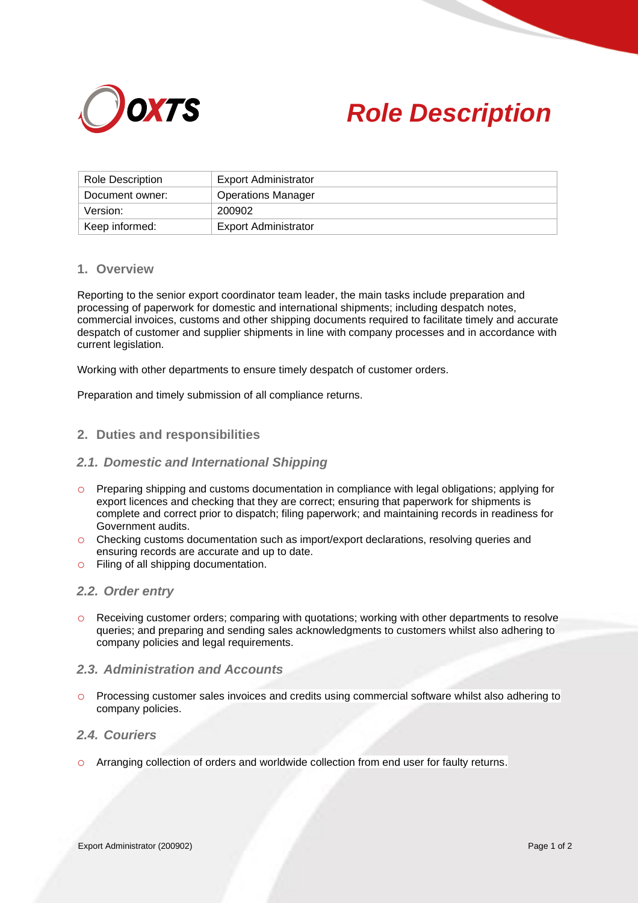



| Role Description | Export Administrator      |
|------------------|---------------------------|
| Document owner:  | <b>Operations Manager</b> |
| Version:         | 200902                    |
| Keep informed:   | Export Administrator      |

### **1. Overview**

Reporting to the senior export coordinator team leader, the main tasks include preparation and processing of paperwork for domestic and international shipments; including despatch notes, commercial invoices, customs and other shipping documents required to facilitate timely and accurate despatch of customer and supplier shipments in line with company processes and in accordance with current legislation.

Working with other departments to ensure timely despatch of customer orders.

Preparation and timely submission of all compliance returns.

#### **2. Duties and responsibilities**

#### *2.1. Domestic and International Shipping*

- o Preparing shipping and customs documentation in compliance with legal obligations; applying for export licences and checking that they are correct; ensuring that paperwork for shipments is complete and correct prior to dispatch; filing paperwork; and maintaining records in readiness for Government audits.
- o Checking customs documentation such as import/export declarations, resolving queries and ensuring records are accurate and up to date.
- o Filing of all shipping documentation.

### *2.2. Order entry*

o Receiving customer orders; comparing with quotations; working with other departments to resolve queries; and preparing and sending sales acknowledgments to customers whilst also adhering to company policies and legal requirements.

# *2.3. Administration and Accounts*

o Processing customer sales invoices and credits using commercial software whilst also adhering to company policies.

### *2.4. Couriers*

o Arranging collection of orders and worldwide collection from end user for faulty returns.